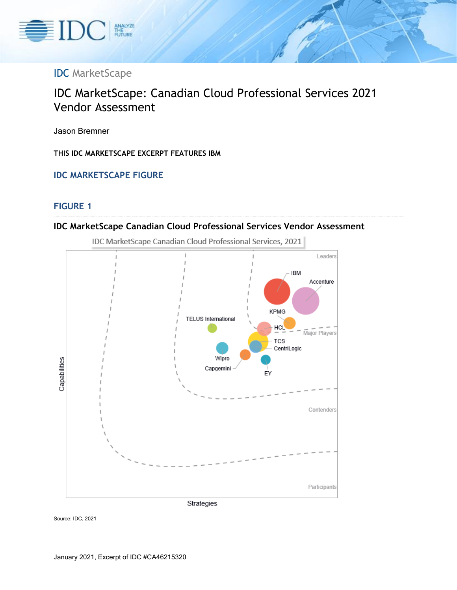

# IDC MarketScape

# IDC MarketScape: Canadian Cloud Professional Services 2021 Vendor Assessment

Jason Bremner

**THIS IDC MARKETSCAPE EXCERPT FEATURES IBM**

**IDC MARKETSCAPE FIGURE**

#### **FIGURE 1**





IDC MarketScape Canadian Cloud Professional Services, 2021

Source: IDC, 2021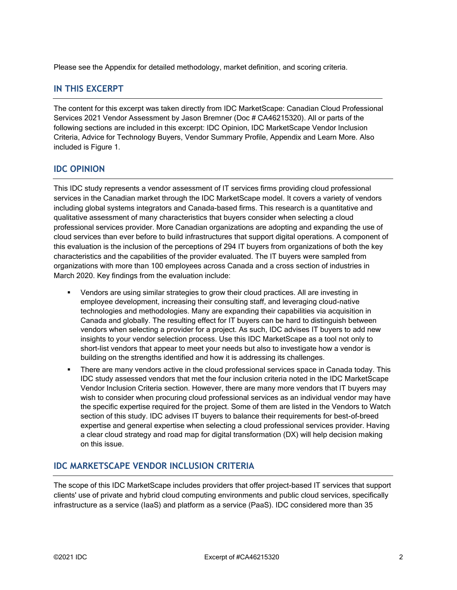Please see the Appendix for detailed methodology, market definition, and scoring criteria.

### **IN THIS EXCERPT**

The content for this excerpt was taken directly from IDC MarketScape: Canadian Cloud Professional Services 2021 Vendor Assessment by Jason Bremner (Doc # CA46215320). All or parts of the following sections are included in this excerpt: IDC Opinion, IDC MarketScape Vendor Inclusion Criteria, Advice for Technology Buyers, Vendor Summary Profile, Appendix and Learn More. Also included is Figure 1.

### **IDC OPINION**

This IDC study represents a vendor assessment of IT services firms providing cloud professional services in the Canadian market through the IDC MarketScape model. It covers a variety of vendors including global systems integrators and Canada-based firms. This research is a quantitative and qualitative assessment of many characteristics that buyers consider when selecting a cloud professional services provider. More Canadian organizations are adopting and expanding the use of cloud services than ever before to build infrastructures that support digital operations. A component of this evaluation is the inclusion of the perceptions of 294 IT buyers from organizations of both the key characteristics and the capabilities of the provider evaluated. The IT buyers were sampled from organizations with more than 100 employees across Canada and a cross section of industries in March 2020. Key findings from the evaluation include:

- Vendors are using similar strategies to grow their cloud practices. All are investing in employee development, increasing their consulting staff, and leveraging cloud-native technologies and methodologies. Many are expanding their capabilities via acquisition in Canada and globally. The resulting effect for IT buyers can be hard to distinguish between vendors when selecting a provider for a project. As such, IDC advises IT buyers to add new insights to your vendor selection process. Use this IDC MarketScape as a tool not only to short-list vendors that appear to meet your needs but also to investigate how a vendor is building on the strengths identified and how it is addressing its challenges.
- There are many vendors active in the cloud professional services space in Canada today. This IDC study assessed vendors that met the four inclusion criteria noted in the IDC MarketScape Vendor Inclusion Criteria section. However, there are many more vendors that IT buyers may wish to consider when procuring cloud professional services as an individual vendor may have the specific expertise required for the project. Some of them are listed in the Vendors to Watch section of this study. IDC advises IT buyers to balance their requirements for best-of-breed expertise and general expertise when selecting a cloud professional services provider. Having a clear cloud strategy and road map for digital transformation (DX) will help decision making on this issue.

### **IDC MARKETSCAPE VENDOR INCLUSION CRITERIA**

The scope of this IDC MarketScape includes providers that offer project-based IT services that support clients' use of private and hybrid cloud computing environments and public cloud services, specifically infrastructure as a service (IaaS) and platform as a service (PaaS). IDC considered more than 35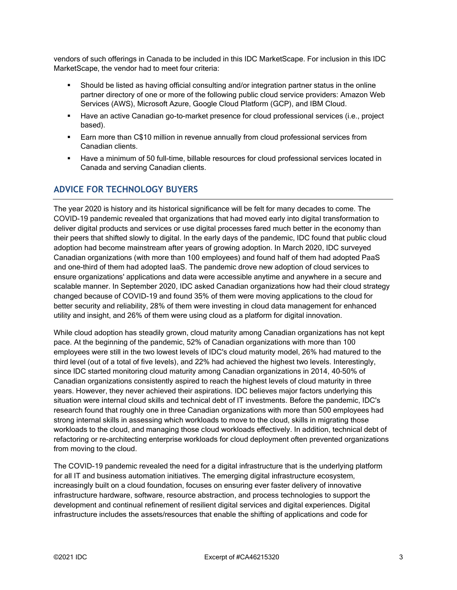vendors of such offerings in Canada to be included in this IDC MarketScape. For inclusion in this IDC MarketScape, the vendor had to meet four criteria:

- Should be listed as having official consulting and/or integration partner status in the online partner directory of one or more of the following public cloud service providers: Amazon Web Services (AWS), Microsoft Azure, Google Cloud Platform (GCP), and IBM Cloud.
- Have an active Canadian go-to-market presence for cloud professional services (i.e., project based).
- **Earn more than C\$10 million in revenue annually from cloud professional services from** Canadian clients.
- **■** Have a minimum of 50 full-time, billable resources for cloud professional services located in Canada and serving Canadian clients.

### **ADVICE FOR TECHNOLOGY BUYERS**

The year 2020 is history and its historical significance will be felt for many decades to come. The COVID-19 pandemic revealed that organizations that had moved early into digital transformation to deliver digital products and services or use digital processes fared much better in the economy than their peers that shifted slowly to digital. In the early days of the pandemic, IDC found that public cloud adoption had become mainstream after years of growing adoption. In March 2020, IDC surveyed Canadian organizations (with more than 100 employees) and found half of them had adopted PaaS and one-third of them had adopted IaaS. The pandemic drove new adoption of cloud services to ensure organizations' applications and data were accessible anytime and anywhere in a secure and scalable manner. In September 2020, IDC asked Canadian organizations how had their cloud strategy changed because of COVID-19 and found 35% of them were moving applications to the cloud for better security and reliability, 28% of them were investing in cloud data management for enhanced utility and insight, and 26% of them were using cloud as a platform for digital innovation.

While cloud adoption has steadily grown, cloud maturity among Canadian organizations has not kept pace. At the beginning of the pandemic, 52% of Canadian organizations with more than 100 employees were still in the two lowest levels of IDC's cloud maturity model, 26% had matured to the third level (out of a total of five levels), and 22% had achieved the highest two levels. Interestingly, since IDC started monitoring cloud maturity among Canadian organizations in 2014, 40–50% of Canadian organizations consistently aspired to reach the highest levels of cloud maturity in three years. However, they never achieved their aspirations. IDC believes major factors underlying this situation were internal cloud skills and technical debt of IT investments. Before the pandemic, IDC's research found that roughly one in three Canadian organizations with more than 500 employees had strong internal skills in assessing which workloads to move to the cloud, skills in migrating those workloads to the cloud, and managing those cloud workloads effectively. In addition, technical debt of refactoring or re-architecting enterprise workloads for cloud deployment often prevented organizations from moving to the cloud.

The COVID-19 pandemic revealed the need for a digital infrastructure that is the underlying platform for all IT and business automation initiatives. The emerging digital infrastructure ecosystem, increasingly built on a cloud foundation, focuses on ensuring ever faster delivery of innovative infrastructure hardware, software, resource abstraction, and process technologies to support the development and continual refinement of resilient digital services and digital experiences. Digital infrastructure includes the assets/resources that enable the shifting of applications and code for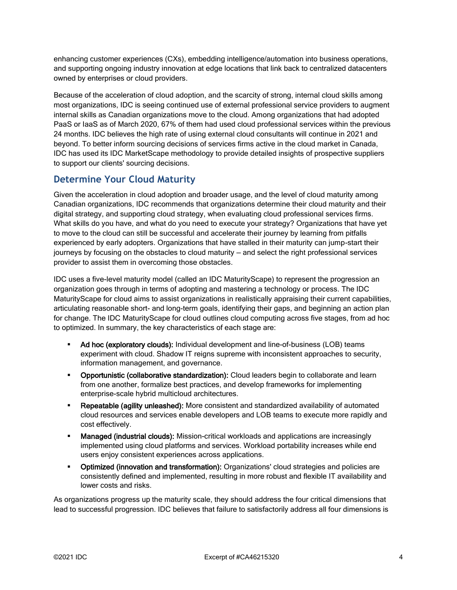enhancing customer experiences (CXs), embedding intelligence/automation into business operations, and supporting ongoing industry innovation at edge locations that link back to centralized datacenters owned by enterprises or cloud providers.

Because of the acceleration of cloud adoption, and the scarcity of strong, internal cloud skills among most organizations, IDC is seeing continued use of external professional service providers to augment internal skills as Canadian organizations move to the cloud. Among organizations that had adopted PaaS or IaaS as of March 2020, 67% of them had used cloud professional services within the previous 24 months. IDC believes the high rate of using external cloud consultants will continue in 2021 and beyond. To better inform sourcing decisions of services firms active in the cloud market in Canada, IDC has used its IDC MarketScape methodology to provide detailed insights of prospective suppliers to support our clients' sourcing decisions.

# **Determine Your Cloud Maturity**

Given the acceleration in cloud adoption and broader usage, and the level of cloud maturity among Canadian organizations, IDC recommends that organizations determine their cloud maturity and their digital strategy, and supporting cloud strategy, when evaluating cloud professional services firms. What skills do you have, and what do you need to execute your strategy? Organizations that have yet to move to the cloud can still be successful and accelerate their journey by learning from pitfalls experienced by early adopters. Organizations that have stalled in their maturity can jump-start their journeys by focusing on the obstacles to cloud maturity — and select the right professional services provider to assist them in overcoming those obstacles.

IDC uses a five-level maturity model (called an IDC MaturityScape) to represent the progression an organization goes through in terms of adopting and mastering a technology or process. The IDC MaturityScape for cloud aims to assist organizations in realistically appraising their current capabilities, articulating reasonable short- and long-term goals, identifying their gaps, and beginning an action plan for change. The IDC MaturityScape for cloud outlines cloud computing across five stages, from ad hoc to optimized. In summary, the key characteristics of each stage are:

- Ad hoc (exploratory clouds): Individual development and line-of-business (LOB) teams experiment with cloud. Shadow IT reigns supreme with inconsistent approaches to security, information management, and governance.
- **Opportunistic (collaborative standardization):** Cloud leaders begin to collaborate and learn from one another, formalize best practices, and develop frameworks for implementing enterprise-scale hybrid multicloud architectures.
- **EXEDEBED FEE ADIES IN A REPORT ADIOES 12 ADDED Repeatable (agglity of automated** availability of automated cloud resources and services enable developers and LOB teams to execute more rapidly and cost effectively.
- **Managed (industrial clouds):** Mission-critical workloads and applications are increasingly implemented using cloud platforms and services. Workload portability increases while end users enjoy consistent experiences across applications.
- **•** Optimized (innovation and transformation): Organizations' cloud strategies and policies are consistently defined and implemented, resulting in more robust and flexible IT availability and lower costs and risks.

As organizations progress up the maturity scale, they should address the four critical dimensions that lead to successful progression. IDC believes that failure to satisfactorily address all four dimensions is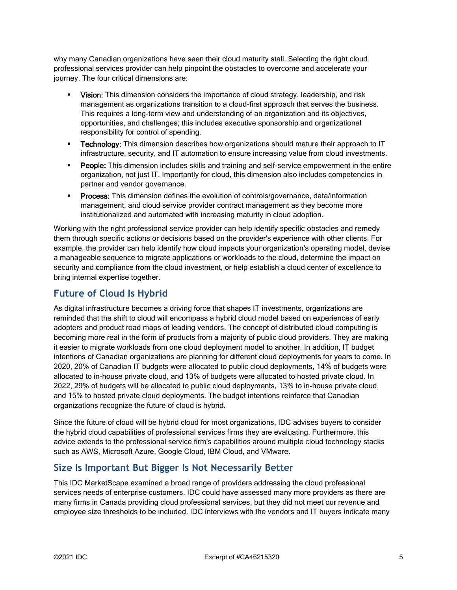why many Canadian organizations have seen their cloud maturity stall. Selecting the right cloud professional services provider can help pinpoint the obstacles to overcome and accelerate your journey. The four critical dimensions are:

- Vision: This dimension considers the importance of cloud strategy, leadership, and risk management as organizations transition to a cloud-first approach that serves the business. This requires a long-term view and understanding of an organization and its objectives, opportunities, and challenges; this includes executive sponsorship and organizational responsibility for control of spending.
- **Technology:** This dimension describes how organizations should mature their approach to IT infrastructure, security, and IT automation to ensure increasing value from cloud investments.
- **People:** This dimension includes skills and training and self-service empowerment in the entire organization, not just IT. Importantly for cloud, this dimension also includes competencies in partner and vendor governance.
- **Process:** This dimension defines the evolution of controls/governance, data/information management, and cloud service provider contract management as they become more institutionalized and automated with increasing maturity in cloud adoption.

Working with the right professional service provider can help identify specific obstacles and remedy them through specific actions or decisions based on the provider's experience with other clients. For example, the provider can help identify how cloud impacts your organization's operating model, devise a manageable sequence to migrate applications or workloads to the cloud, determine the impact on security and compliance from the cloud investment, or help establish a cloud center of excellence to bring internal expertise together.

# **Future of Cloud Is Hybrid**

As digital infrastructure becomes a driving force that shapes IT investments, organizations are reminded that the shift to cloud will encompass a hybrid cloud model based on experiences of early adopters and product road maps of leading vendors. The concept of distributed cloud computing is becoming more real in the form of products from a majority of public cloud providers. They are making it easier to migrate workloads from one cloud deployment model to another. In addition, IT budget intentions of Canadian organizations are planning for different cloud deployments for years to come. In 2020, 20% of Canadian IT budgets were allocated to public cloud deployments, 14% of budgets were allocated to in-house private cloud, and 13% of budgets were allocated to hosted private cloud. In 2022, 29% of budgets will be allocated to public cloud deployments, 13% to in-house private cloud, and 15% to hosted private cloud deployments. The budget intentions reinforce that Canadian organizations recognize the future of cloud is hybrid.

Since the future of cloud will be hybrid cloud for most organizations, IDC advises buyers to consider the hybrid cloud capabilities of professional services firms they are evaluating. Furthermore, this advice extends to the professional service firm's capabilities around multiple cloud technology stacks such as AWS, Microsoft Azure, Google Cloud, IBM Cloud, and VMware.

# **Size Is Important But Bigger Is Not Necessarily Better**

This IDC MarketScape examined a broad range of providers addressing the cloud professional services needs of enterprise customers. IDC could have assessed many more providers as there are many firms in Canada providing cloud professional services, but they did not meet our revenue and employee size thresholds to be included. IDC interviews with the vendors and IT buyers indicate many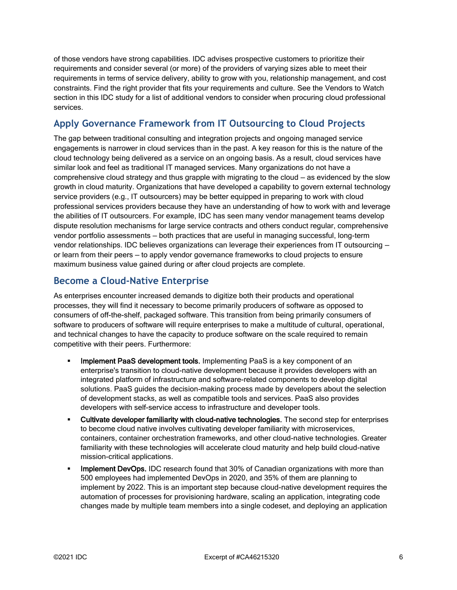of those vendors have strong capabilities. IDC advises prospective customers to prioritize their requirements and consider several (or more) of the providers of varying sizes able to meet their requirements in terms of service delivery, ability to grow with you, relationship management, and cost constraints. Find the right provider that fits your requirements and culture. See the Vendors to Watch section in this IDC study for a list of additional vendors to consider when procuring cloud professional services.

# **Apply Governance Framework from IT Outsourcing to Cloud Projects**

The gap between traditional consulting and integration projects and ongoing managed service engagements is narrower in cloud services than in the past. A key reason for this is the nature of the cloud technology being delivered as a service on an ongoing basis. As a result, cloud services have similar look and feel as traditional IT managed services. Many organizations do not have a comprehensive cloud strategy and thus grapple with migrating to the cloud — as evidenced by the slow growth in cloud maturity. Organizations that have developed a capability to govern external technology service providers (e.g., IT outsourcers) may be better equipped in preparing to work with cloud professional services providers because they have an understanding of how to work with and leverage the abilities of IT outsourcers. For example, IDC has seen many vendor management teams develop dispute resolution mechanisms for large service contracts and others conduct regular, comprehensive vendor portfolio assessments — both practices that are useful in managing successful, long-term vendor relationships. IDC believes organizations can leverage their experiences from IT outsourcing or learn from their peers — to apply vendor governance frameworks to cloud projects to ensure maximum business value gained during or after cloud projects are complete.

# **Become a Cloud-Native Enterprise**

As enterprises encounter increased demands to digitize both their products and operational processes, they will find it necessary to become primarily producers of software as opposed to consumers of off-the-shelf, packaged software. This transition from being primarily consumers of software to producers of software will require enterprises to make a multitude of cultural, operational, and technical changes to have the capacity to produce software on the scale required to remain competitive with their peers. Furthermore:

- Implement PaaS development tools. Implementing PaaS is a key component of an enterprise's transition to cloud-native development because it provides developers with an integrated platform of infrastructure and software-related components to develop digital solutions. PaaS guides the decision-making process made by developers about the selection of development stacks, as well as compatible tools and services. PaaS also provides developers with self-service access to infrastructure and developer tools.
- Cultivate developer familiarity with cloud-native technologies. The second step for enterprises to become cloud native involves cultivating developer familiarity with microservices, containers, container orchestration frameworks, and other cloud-native technologies. Greater familiarity with these technologies will accelerate cloud maturity and help build cloud-native mission-critical applications.
- Implement DevOps. IDC research found that 30% of Canadian organizations with more than 500 employees had implemented DevOps in 2020, and 35% of them are planning to implement by 2022. This is an important step because cloud-native development requires the automation of processes for provisioning hardware, scaling an application, integrating code changes made by multiple team members into a single codeset, and deploying an application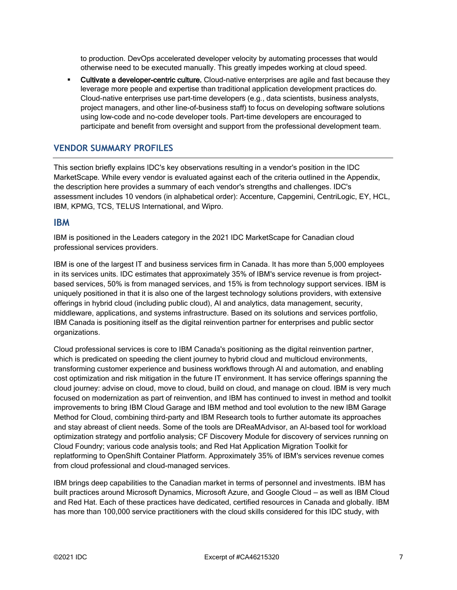to production. DevOps accelerated developer velocity by automating processes that would otherwise need to be executed manually. This greatly impedes working at cloud speed.

**EXECULTIVATE a developer-centric culture.** Cloud-native enterprises are agile and fast because they leverage more people and expertise than traditional application development practices do. Cloud-native enterprises use part-time developers (e.g., data scientists, business analysts, project managers, and other line-of-business staff) to focus on developing software solutions using low-code and no-code developer tools. Part-time developers are encouraged to participate and benefit from oversight and support from the professional development team.

#### **VENDOR SUMMARY PROFILES**

This section briefly explains IDC's key observations resulting in a vendor's position in the IDC MarketScape. While every vendor is evaluated against each of the criteria outlined in the Appendix, the description here provides a summary of each vendor's strengths and challenges. IDC's assessment includes 10 vendors (in alphabetical order): Accenture, Capgemini, CentriLogic, EY, HCL, IBM, KPMG, TCS, TELUS International, and Wipro.

#### **IBM**

IBM is positioned in the Leaders category in the 2021 IDC MarketScape for Canadian cloud professional services providers.

IBM is one of the largest IT and business services firm in Canada. It has more than 5,000 employees in its services units. IDC estimates that approximately 35% of IBM's service revenue is from projectbased services, 50% is from managed services, and 15% is from technology support services. IBM is uniquely positioned in that it is also one of the largest technology solutions providers, with extensive offerings in hybrid cloud (including public cloud), AI and analytics, data management, security, middleware, applications, and systems infrastructure. Based on its solutions and services portfolio, IBM Canada is positioning itself as the digital reinvention partner for enterprises and public sector organizations.

Cloud professional services is core to IBM Canada's positioning as the digital reinvention partner, which is predicated on speeding the client journey to hybrid cloud and multicloud environments, transforming customer experience and business workflows through AI and automation, and enabling cost optimization and risk mitigation in the future IT environment. It has service offerings spanning the cloud journey: advise on cloud, move to cloud, build on cloud, and manage on cloud. IBM is very much focused on modernization as part of reinvention, and IBM has continued to invest in method and toolkit improvements to bring IBM Cloud Garage and IBM method and tool evolution to the new IBM Garage Method for Cloud, combining third-party and IBM Research tools to further automate its approaches and stay abreast of client needs. Some of the tools are DReaMAdvisor, an AI-based tool for workload optimization strategy and portfolio analysis; CF Discovery Module for discovery of services running on Cloud Foundry; various code analysis tools; and Red Hat Application Migration Toolkit for replatforming to OpenShift Container Platform. Approximately 35% of IBM's services revenue comes from cloud professional and cloud-managed services.

IBM brings deep capabilities to the Canadian market in terms of personnel and investments. IBM has built practices around Microsoft Dynamics, Microsoft Azure, and Google Cloud — as well as IBM Cloud and Red Hat. Each of these practices have dedicated, certified resources in Canada and globally. IBM has more than 100,000 service practitioners with the cloud skills considered for this IDC study, with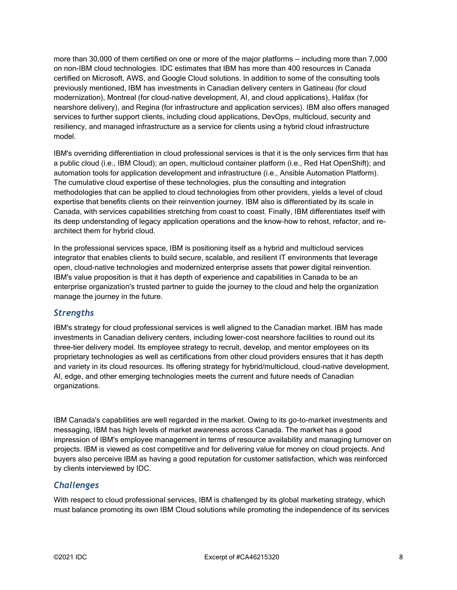more than 30,000 of them certified on one or more of the major platforms — including more than 7,000 on non-IBM cloud technologies. IDC estimates that IBM has more than 400 resources in Canada certified on Microsoft, AWS, and Google Cloud solutions. In addition to some of the consulting tools previously mentioned, IBM has investments in Canadian delivery centers in Gatineau (for cloud modernization), Montreal (for cloud-native development, AI, and cloud applications), Halifax (for nearshore delivery), and Regina (for infrastructure and application services). IBM also offers managed services to further support clients, including cloud applications, DevOps, multicloud, security and resiliency, and managed infrastructure as a service for clients using a hybrid cloud infrastructure model.

IBM's overriding differentiation in cloud professional services is that it is the only services firm that has a public cloud (i.e., IBM Cloud); an open, multicloud container platform (i.e., Red Hat OpenShift); and automation tools for application development and infrastructure (i.e., Ansible Automation Platform). The cumulative cloud expertise of these technologies, plus the consulting and integration methodologies that can be applied to cloud technologies from other providers, yields a level of cloud expertise that benefits clients on their reinvention journey. IBM also is differentiated by its scale in Canada, with services capabilities stretching from coast to coast. Finally, IBM differentiates itself with its deep understanding of legacy application operations and the know-how to rehost, refactor, and rearchitect them for hybrid cloud.

In the professional services space, IBM is positioning itself as a hybrid and multicloud services integrator that enables clients to build secure, scalable, and resilient IT environments that leverage open, cloud-native technologies and modernized enterprise assets that power digital reinvention. IBM's value proposition is that it has depth of experience and capabilities in Canada to be an enterprise organization's trusted partner to guide the journey to the cloud and help the organization manage the journey in the future.

#### *Strengths*

IBM's strategy for cloud professional services is well aligned to the Canadian market. IBM has made investments in Canadian delivery centers, including lower-cost nearshore facilities to round out its three-tier delivery model. Its employee strategy to recruit, develop, and mentor employees on its proprietary technologies as well as certifications from other cloud providers ensures that it has depth and variety in its cloud resources. Its offering strategy for hybrid/multicloud, cloud-native development, AI, edge, and other emerging technologies meets the current and future needs of Canadian organizations.

IBM Canada's capabilities are well regarded in the market. Owing to its go-to-market investments and messaging, IBM has high levels of market awareness across Canada. The market has a good impression of IBM's employee management in terms of resource availability and managing turnover on projects. IBM is viewed as cost competitive and for delivering value for money on cloud projects. And buyers also perceive IBM as having a good reputation for customer satisfaction, which was reinforced by clients interviewed by IDC.

### *Challenges*

With respect to cloud professional services, IBM is challenged by its global marketing strategy, which must balance promoting its own IBM Cloud solutions while promoting the independence of its services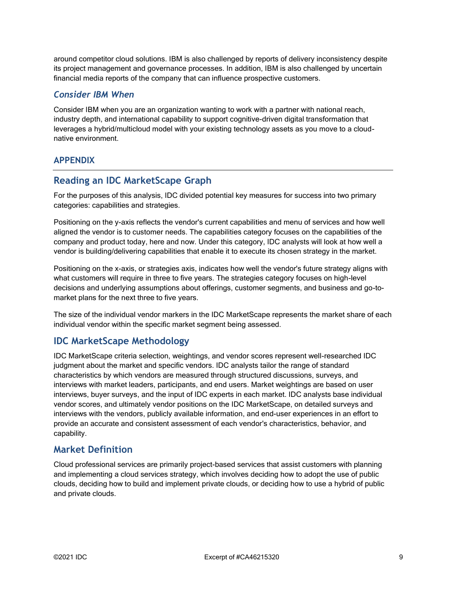around competitor cloud solutions. IBM is also challenged by reports of delivery inconsistency despite its project management and governance processes. In addition, IBM is also challenged by uncertain financial media reports of the company that can influence prospective customers.

#### *Consider IBM When*

Consider IBM when you are an organization wanting to work with a partner with national reach, industry depth, and international capability to support cognitive-driven digital transformation that leverages a hybrid/multicloud model with your existing technology assets as you move to a cloudnative environment.

#### **APPENDIX**

### **Reading an IDC MarketScape Graph**

For the purposes of this analysis, IDC divided potential key measures for success into two primary categories: capabilities and strategies.

Positioning on the y-axis reflects the vendor's current capabilities and menu of services and how well aligned the vendor is to customer needs. The capabilities category focuses on the capabilities of the company and product today, here and now. Under this category, IDC analysts will look at how well a vendor is building/delivering capabilities that enable it to execute its chosen strategy in the market.

Positioning on the x-axis, or strategies axis, indicates how well the vendor's future strategy aligns with what customers will require in three to five years. The strategies category focuses on high-level decisions and underlying assumptions about offerings, customer segments, and business and go-tomarket plans for the next three to five years.

The size of the individual vendor markers in the IDC MarketScape represents the market share of each individual vendor within the specific market segment being assessed.

# **IDC MarketScape Methodology**

IDC MarketScape criteria selection, weightings, and vendor scores represent well-researched IDC judgment about the market and specific vendors. IDC analysts tailor the range of standard characteristics by which vendors are measured through structured discussions, surveys, and interviews with market leaders, participants, and end users. Market weightings are based on user interviews, buyer surveys, and the input of IDC experts in each market. IDC analysts base individual vendor scores, and ultimately vendor positions on the IDC MarketScape, on detailed surveys and interviews with the vendors, publicly available information, and end-user experiences in an effort to provide an accurate and consistent assessment of each vendor's characteristics, behavior, and capability.

### **Market Definition**

Cloud professional services are primarily project-based services that assist customers with planning and implementing a cloud services strategy, which involves deciding how to adopt the use of public clouds, deciding how to build and implement private clouds, or deciding how to use a hybrid of public and private clouds.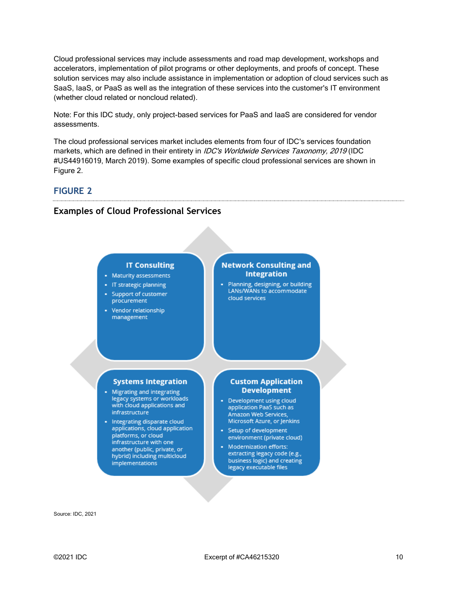Cloud professional services may include assessments and road map development, workshops and accelerators, implementation of pilot programs or other deployments, and proofs of concept. These solution services may also include assistance in implementation or adoption of cloud services such as SaaS, IaaS, or PaaS as well as the integration of these services into the customer's IT environment (whether cloud related or noncloud related).

Note: For this IDC study, only project-based services for PaaS and IaaS are considered for vendor assessments.

The cloud professional services market includes elements from four of IDC's services foundation markets, which are defined in their entirety in *IDC's Worldwide Services Taxonomy, 2019* (IDC #US44916019, March 2019). Some examples of specific cloud professional services are shown in Figure 2.

#### **FIGURE 2**

#### **Examples of Cloud Professional Services**

#### **IT Consulting**

- Maturity assessments
- IT strategic planning
- Support of customer procurement
- Vendor relationship management

#### **Network Consulting and Integration**

Planning, designing, or building LANs/WANs to accommodate cloud services

#### **Systems Integration**

- Migrating and integrating legacy systems or workloads with cloud applications and infrastructure
- Integrating disparate cloud applications, cloud application platforms, or cloud infrastructure with one another (public, private, or hybrid) including multicloud implementations

#### **Custom Application Development**

- Development using cloud application PaaS such as Amazon Web Services, Microsoft Azure, or Jenkins
- Setup of development environment (private cloud)
- Modernization efforts: extracting legacy code (e.g., business logic) and creating legacy executable files

Source: IDC, 2021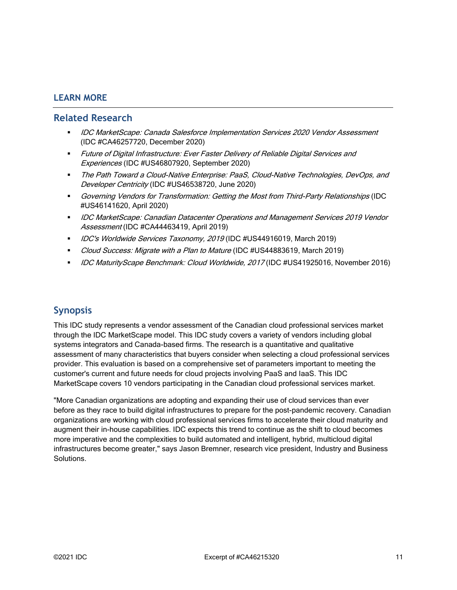#### **LEARN MORE**

#### **Related Research**

- **IDC MarketScape: Canada Salesforce Implementation Services 2020 Vendor Assessment** (IDC #CA46257720, December 2020)
- Future of Digital Infrastructure: Ever Faster Delivery of Reliable Digital Services and Experiences (IDC #US46807920, September 2020)
- The Path Toward a Cloud-Native Enterprise: PaaS, Cloud-Native Technologies, DevOps, and Developer Centricity (IDC #US46538720, June 2020)
- Governing Vendors for Transformation: Getting the Most from Third-Party Relationships (IDC #US46141620, April 2020)
- **IDC MarketScape: Canadian Datacenter Operations and Management Services 2019 Vendor** Assessment (IDC #CA44463419, April 2019)
- *IDC's Worldwide Services Taxonomy, 2019* (IDC #US44916019, March 2019)
- Cloud Success: Migrate with a Plan to Mature (IDC #US44883619, March 2019)
- **■** *IDC MaturityScape Benchmark: Cloud Worldwide, 2017* (IDC #US41925016, November 2016)

# **Synopsis**

This IDC study represents a vendor assessment of the Canadian cloud professional services market through the IDC MarketScape model. This IDC study covers a variety of vendors including global systems integrators and Canada-based firms. The research is a quantitative and qualitative assessment of many characteristics that buyers consider when selecting a cloud professional services provider. This evaluation is based on a comprehensive set of parameters important to meeting the customer's current and future needs for cloud projects involving PaaS and IaaS. This IDC MarketScape covers 10 vendors participating in the Canadian cloud professional services market.

"More Canadian organizations are adopting and expanding their use of cloud services than ever before as they race to build digital infrastructures to prepare for the post-pandemic recovery. Canadian organizations are working with cloud professional services firms to accelerate their cloud maturity and augment their in-house capabilities. IDC expects this trend to continue as the shift to cloud becomes more imperative and the complexities to build automated and intelligent, hybrid, multicloud digital infrastructures become greater," says Jason Bremner, research vice president, Industry and Business Solutions.